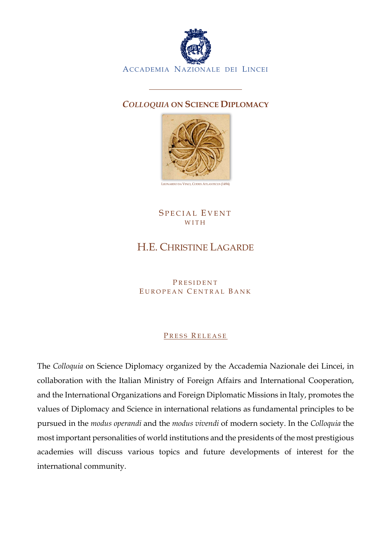

## *COLLOQUIA* **ON SCIENCE DIPLOMACY**



SPECIAL EVENT WITH

## H.E. CHRISTINE LAGARDE

**PRESIDENT** EUROPEAN CENTRAL BANK

## PRESS RELEASE

The *Colloquia* on Science Diplomacy organized by the Accademia Nazionale dei Lincei, in collaboration with the Italian Ministry of Foreign Affairs and International Cooperation, and the International Organizations and Foreign Diplomatic Missions in Italy, promotes the values of Diplomacy and Science in international relations as fundamental principles to be pursued in the *modus operandi* and the *modus vivendi* of modern society. In the *Colloquia* the most important personalities of world institutions and the presidents of the most prestigious academies will discuss various topics and future developments of interest for the international community.